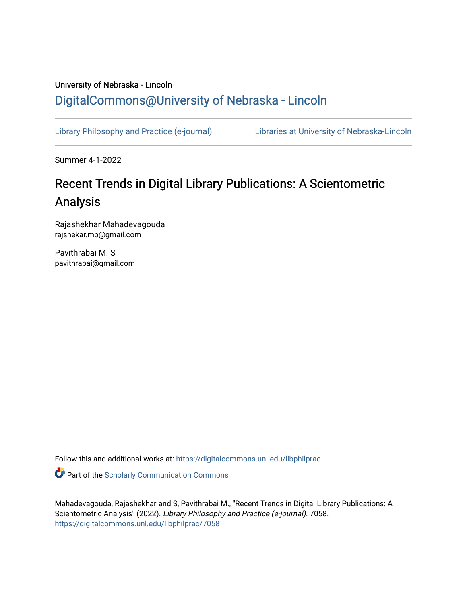### University of Nebraska - Lincoln [DigitalCommons@University of Nebraska - Lincoln](https://digitalcommons.unl.edu/)

[Library Philosophy and Practice \(e-journal\)](https://digitalcommons.unl.edu/libphilprac) [Libraries at University of Nebraska-Lincoln](https://digitalcommons.unl.edu/libraries) 

Summer 4-1-2022

# Recent Trends in Digital Library Publications: A Scientometric Analysis

Rajashekhar Mahadevagouda rajshekar.mp@gmail.com

Pavithrabai M. S pavithrabai@gmail.com

Follow this and additional works at: [https://digitalcommons.unl.edu/libphilprac](https://digitalcommons.unl.edu/libphilprac?utm_source=digitalcommons.unl.edu%2Flibphilprac%2F7058&utm_medium=PDF&utm_campaign=PDFCoverPages) 

**Part of the Scholarly Communication Commons** 

Mahadevagouda, Rajashekhar and S, Pavithrabai M., "Recent Trends in Digital Library Publications: A Scientometric Analysis" (2022). Library Philosophy and Practice (e-journal). 7058. [https://digitalcommons.unl.edu/libphilprac/7058](https://digitalcommons.unl.edu/libphilprac/7058?utm_source=digitalcommons.unl.edu%2Flibphilprac%2F7058&utm_medium=PDF&utm_campaign=PDFCoverPages)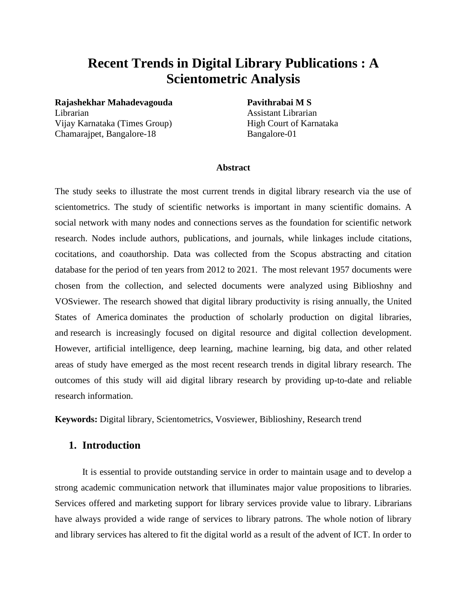## **Recent Trends in Digital Library Publications : A Scientometric Analysis**

**Rajashekhar Mahadevagouda Pavithrabai M S**  Librarian Assistant Librarian Vijay Karnataka (Times Group) High Court of Karnataka Chamarajpet, Bangalore-18 Bangalore-01

#### **Abstract**

The study seeks to illustrate the most current trends in digital library research via the use of scientometrics. The study of scientific networks is important in many scientific domains. A social network with many nodes and connections serves as the foundation for scientific network research. Nodes include authors, publications, and journals, while linkages include citations, cocitations, and coauthorship. Data was collected from the Scopus abstracting and citation database for the period of ten years from 2012 to 2021. The most relevant 1957 documents were chosen from the collection, and selected documents were analyzed using Biblioshny and VOSviewer. The research showed that digital library productivity is rising annually, the United States of America dominates the production of scholarly production on digital libraries, and research is increasingly focused on digital resource and digital collection development. However, artificial intelligence, deep learning, machine learning, big data, and other related areas of study have emerged as the most recent research trends in digital library research. The outcomes of this study will aid digital library research by providing up-to-date and reliable research information.

**Keywords:** Digital library, Scientometrics, Vosviewer, Biblioshiny, Research trend

#### **1. Introduction**

It is essential to provide outstanding service in order to maintain usage and to develop a strong academic communication network that illuminates major value propositions to libraries. Services offered and marketing support for library services provide value to library. Librarians have always provided a wide range of services to library patrons. The whole notion of library and library services has altered to fit the digital world as a result of the advent of ICT. In order to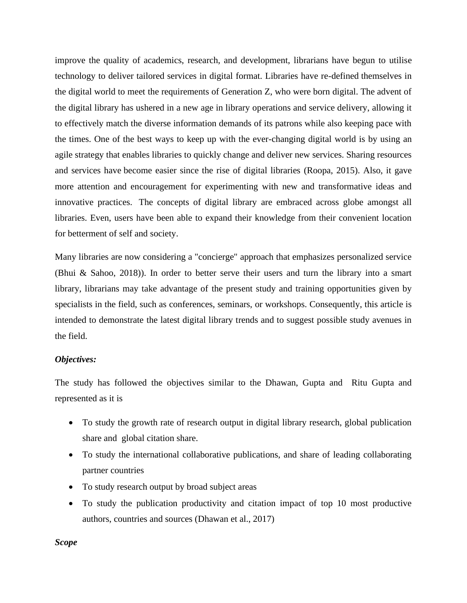improve the quality of academics, research, and development, librarians have begun to utilise technology to deliver tailored services in digital format. Libraries have re-defined themselves in the digital world to meet the requirements of Generation Z, who were born digital. The advent of the digital library has ushered in a new age in library operations and service delivery, allowing it to effectively match the diverse information demands of its patrons while also keeping pace with the times. One of the best ways to keep up with the ever-changing digital world is by using an agile strategy that enables libraries to quickly change and deliver new services. Sharing resources and services have become easier since the rise of digital libraries (Roopa, 2015). Also, it gave more attention and encouragement for experimenting with new and transformative ideas and innovative practices. The concepts of digital library are embraced across globe amongst all libraries. Even, users have been able to expand their knowledge from their convenient location for betterment of self and society.

Many libraries are now considering a "concierge" approach that emphasizes personalized service (Bhui & Sahoo, 2018)). In order to better serve their users and turn the library into a smart library, librarians may take advantage of the present study and training opportunities given by specialists in the field, such as conferences, seminars, or workshops. Consequently, this article is intended to demonstrate the latest digital library trends and to suggest possible study avenues in the field.

#### *Objectives:*

The study has followed the objectives similar to the Dhawan, Gupta and Ritu Gupta and represented as it is

- To study the growth rate of research output in digital library research, global publication share and global citation share.
- To study the international collaborative publications, and share of leading collaborating partner countries
- To study research output by broad subject areas
- To study the publication productivity and citation impact of top 10 most productive authors, countries and sources (Dhawan et al., 2017)

*Scope*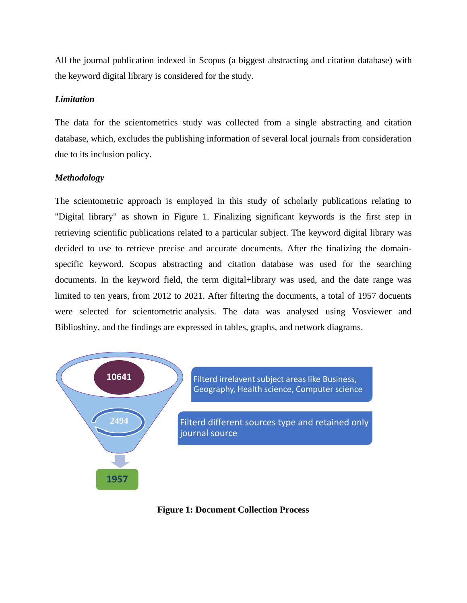All the journal publication indexed in Scopus (a biggest abstracting and citation database) with the keyword digital library is considered for the study.

#### *Limitation*

The data for the scientometrics study was collected from a single abstracting and citation database, which, excludes the publishing information of several local journals from consideration due to its inclusion policy.

#### *Methodology*

The scientometric approach is employed in this study of scholarly publications relating to "Digital library" as shown in Figure 1. Finalizing significant keywords is the first step in retrieving scientific publications related to a particular subject. The keyword digital library was decided to use to retrieve precise and accurate documents. After the finalizing the domainspecific keyword. Scopus abstracting and citation database was used for the searching documents. In the keyword field, the term digital+library was used, and the date range was limited to ten years, from 2012 to 2021. After filtering the documents, a total of 1957 docuents were selected for scientometric analysis. The data was analysed using Vosviewer and Biblioshiny, and the findings are expressed in tables, graphs, and network diagrams.



**Figure 1: Document Collection Process**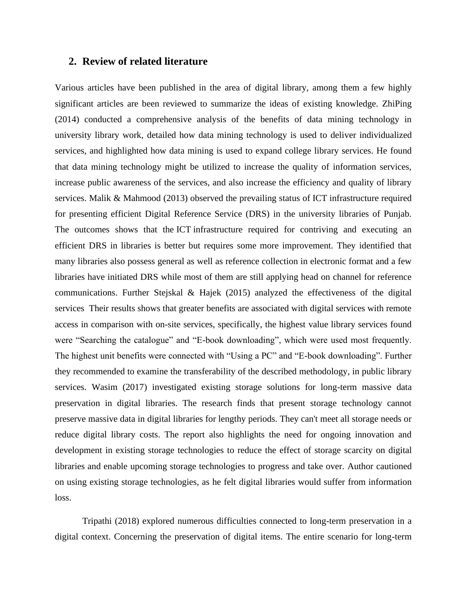#### **2. Review of related literature**

Various articles have been published in the area of digital library, among them a few highly significant articles are been reviewed to summarize the ideas of existing knowledge. ZhiPing (2014) conducted a comprehensive analysis of the benefits of data mining technology in university library work, detailed how data mining technology is used to deliver individualized services, and highlighted how data mining is used to expand college library services. He found that data mining technology might be utilized to increase the quality of information services, increase public awareness of the services, and also increase the efficiency and quality of library services. Malik & Mahmood (2013) observed the prevailing status of ICT infrastructure required for presenting efficient Digital Reference Service (DRS) in the university libraries of Punjab. The outcomes shows that the ICT infrastructure required for contriving and executing an efficient DRS in libraries is better but requires some more improvement. They identified that many libraries also possess general as well as reference collection in electronic format and a few libraries have initiated DRS while most of them are still applying head on channel for reference communications. Further Stejskal & Hajek (2015) analyzed the effectiveness of the digital services Their results shows that greater benefits are associated with digital services with remote access in comparison with on-site services, specifically, the highest value library services found were "Searching the catalogue" and "E-book downloading", which were used most frequently. The highest unit benefits were connected with "Using a PC" and "E-book downloading". Further they recommended to examine the transferability of the described methodology, in public library services. Wasim (2017) investigated existing storage solutions for long-term massive data preservation in digital libraries. The research finds that present storage technology cannot preserve massive data in digital libraries for lengthy periods. They can't meet all storage needs or reduce digital library costs. The report also highlights the need for ongoing innovation and development in existing storage technologies to reduce the effect of storage scarcity on digital libraries and enable upcoming storage technologies to progress and take over. Author cautioned on using existing storage technologies, as he felt digital libraries would suffer from information loss.

Tripathi (2018) explored numerous difficulties connected to long-term preservation in a digital context. Concerning the preservation of digital items. The entire scenario for long-term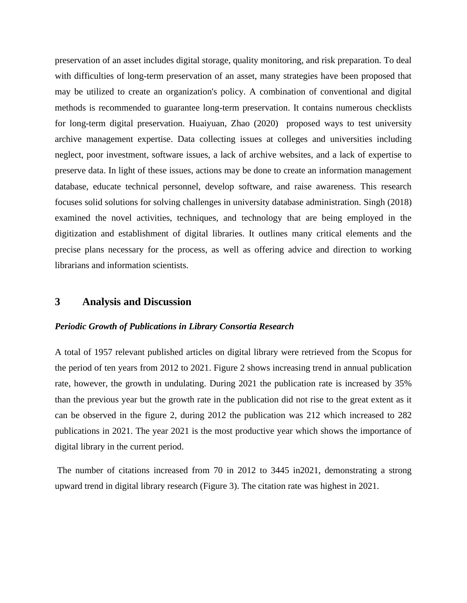preservation of an asset includes digital storage, quality monitoring, and risk preparation. To deal with difficulties of long-term preservation of an asset, many strategies have been proposed that may be utilized to create an organization's policy. A combination of conventional and digital methods is recommended to guarantee long-term preservation. It contains numerous checklists for long-term digital preservation. Huaiyuan, Zhao (2020) proposed ways to test university archive management expertise. Data collecting issues at colleges and universities including neglect, poor investment, software issues, a lack of archive websites, and a lack of expertise to preserve data. In light of these issues, actions may be done to create an information management database, educate technical personnel, develop software, and raise awareness. This research focuses solid solutions for solving challenges in university database administration. Singh (2018) examined the novel activities, techniques, and technology that are being employed in the digitization and establishment of digital libraries. It outlines many critical elements and the precise plans necessary for the process, as well as offering advice and direction to working librarians and information scientists.

#### **3 Analysis and Discussion**

#### *Periodic Growth of Publications in Library Consortia Research*

A total of 1957 relevant published articles on digital library were retrieved from the Scopus for the period of ten years from 2012 to 2021. Figure 2 shows increasing trend in annual publication rate, however, the growth in undulating. During 2021 the publication rate is increased by 35% than the previous year but the growth rate in the publication did not rise to the great extent as it can be observed in the figure 2, during 2012 the publication was 212 which increased to 282 publications in 2021. The year 2021 is the most productive year which shows the importance of digital library in the current period.

The number of citations increased from 70 in 2012 to 3445 in2021, demonstrating a strong upward trend in digital library research (Figure 3). The citation rate was highest in 2021.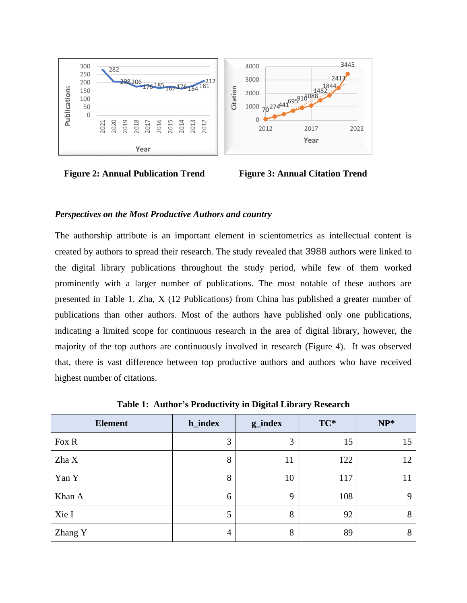

**Figure 2: Annual Publication Trend Figure 3: Annual Citation Trend** 

#### *Perspectives on the Most Productive Authors and country*

The authorship attribute is an important element in scientometrics as intellectual content is created by authors to spread their research. The study revealed that 3988 authors were linked to the digital library publications throughout the study period, while few of them worked prominently with a larger number of publications. The most notable of these authors are presented in Table 1. Zha, X (12 Publications) from China has published a greater number of publications than other authors. Most of the authors have published only one publications, indicating a limited scope for continuous research in the area of digital library, however, the majority of the top authors are continuously involved in research (Figure 4). It was observed that, there is vast difference between top productive authors and authors who have received highest number of citations.

| <b>Element</b> | h_index | g_index     | TC* | $NP^*$      |
|----------------|---------|-------------|-----|-------------|
| Fox R          | 3       | 3           | 15  | 15          |
| Zha X          | 8       | 11          | 122 | 12          |
| Yan Y          | 8       | 10          | 117 | 11          |
| Khan A         | 6       | $\mathbf Q$ | 108 | $\mathbf Q$ |
| Xie I          | 5       | 8           | 92  | 8           |
| Zhang Y        | 4       | 8           | 89  | 8           |

**Table 1: Author's Productivity in Digital Library Research**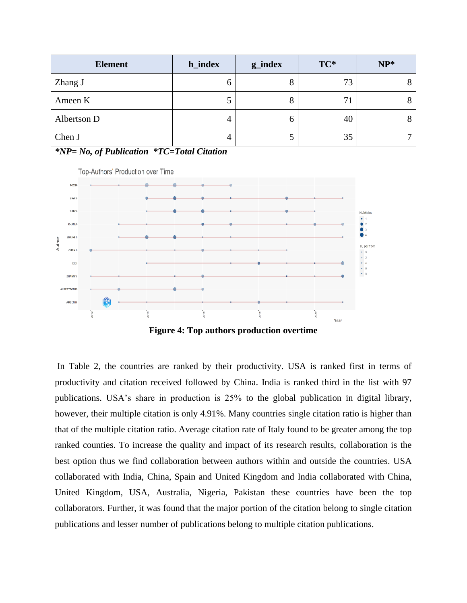| <b>Element</b> | h_index | g_index | TC* | $NP*$ |
|----------------|---------|---------|-----|-------|
| Zhang J        | O       |         | 73  |       |
| Ameen K        | ر       |         | 71  |       |
| Albertson D    | 4       |         | 40  |       |
| Chen J         | 4       |         | 35  |       |

*\*NP= No, of Publication \*TC=Total Citation* 



In Table 2, the countries are ranked by their productivity. USA is ranked first in terms of productivity and citation received followed by China. India is ranked third in the list with 97 publications. USA's share in production is 25% to the global publication in digital library, however, their multiple citation is only 4.91%. Many countries single citation ratio is higher than that of the multiple citation ratio. Average citation rate of Italy found to be greater among the top ranked counties. To increase the quality and impact of its research results, collaboration is the best option thus we find collaboration between authors within and outside the countries. USA collaborated with India, China, Spain and United Kingdom and India collaborated with China, United Kingdom, USA, Australia, Nigeria, Pakistan these countries have been the top collaborators. Further, it was found that the major portion of the citation belong to single citation publications and lesser number of publications belong to multiple citation publications.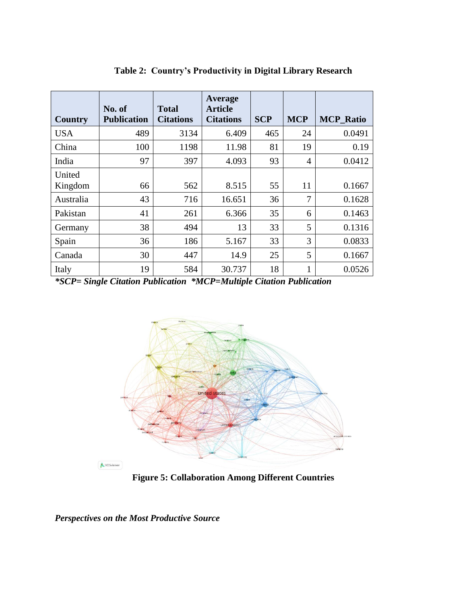| Country           | No. of<br><b>Publication</b> | Total<br><b>Citations</b> | Average<br><b>Article</b><br><b>Citations</b> | <b>SCP</b> | <b>MCP</b>     | <b>MCP_Ratio</b> |
|-------------------|------------------------------|---------------------------|-----------------------------------------------|------------|----------------|------------------|
| <b>USA</b>        | 489                          | 3134                      | 6.409                                         | 465        | 24             | 0.0491           |
| China             | 100                          | 1198                      | 11.98                                         | 81         | 19             | 0.19             |
| India             | 97                           | 397                       | 4.093                                         | 93         | 4              | 0.0412           |
| United<br>Kingdom | 66                           | 562                       | 8.515                                         | 55         | 11             | 0.1667           |
| Australia         | 43                           | 716                       | 16.651                                        | 36         | $\overline{7}$ | 0.1628           |
| Pakistan          | 41                           | 261                       | 6.366                                         | 35         | 6              | 0.1463           |
| Germany           | 38                           | 494                       | 13                                            | 33         | 5              | 0.1316           |
| Spain             | 36                           | 186                       | 5.167                                         | 33         | 3              | 0.0833           |
| Canada            | 30                           | 447                       | 14.9                                          | 25         | 5              | 0.1667           |
| Italy             | 19                           | 584                       | 30.737                                        | 18         | 1              | 0.0526           |

**Table 2: Country's Productivity in Digital Library Research**

*\*SCP= Single Citation Publication \*MCP=Multiple Citation Publication*



**Figure 5: Collaboration Among Different Countries**

*Perspectives on the Most Productive Source*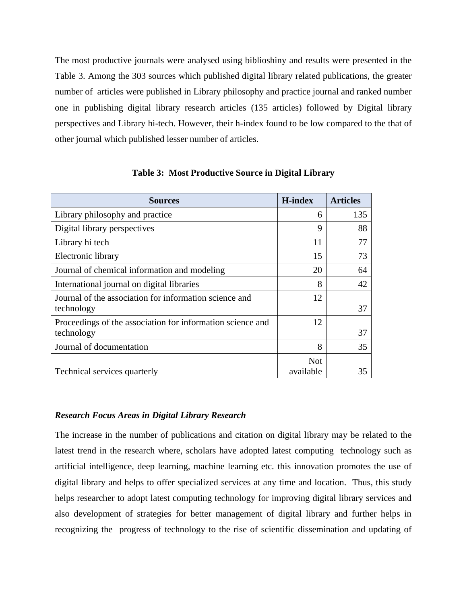The most productive journals were analysed using biblioshiny and results were presented in the Table 3. Among the 303 sources which published digital library related publications, the greater number of articles were published in Library philosophy and practice journal and ranked number one in publishing digital library research articles (135 articles) followed by Digital library perspectives and Library hi-tech. However, their h-index found to be low compared to the that of other journal which published lesser number of articles.

| <b>Sources</b>                                             | <b>H-index</b> | <b>Articles</b> |
|------------------------------------------------------------|----------------|-----------------|
| Library philosophy and practice                            | 6              | 135             |
| Digital library perspectives                               | 9              | 88              |
| Library hi tech                                            | 11             | 77              |
| Electronic library                                         | 15             | 73              |
| Journal of chemical information and modeling               | 20             | 64              |
| International journal on digital libraries                 | 8              | 42              |
| Journal of the association for information science and     | 12             |                 |
| technology                                                 |                | 37              |
| Proceedings of the association for information science and | 12             |                 |
| technology                                                 |                | 37              |
| Journal of documentation                                   | 8              | 35              |
|                                                            | <b>Not</b>     |                 |
| Technical services quarterly                               | available      | 35              |

**Table 3: Most Productive Source in Digital Library**

#### *Research Focus Areas in Digital Library Research*

The increase in the number of publications and citation on digital library may be related to the latest trend in the research where, scholars have adopted latest computing technology such as artificial intelligence, deep learning, machine learning etc. this innovation promotes the use of digital library and helps to offer specialized services at any time and location. Thus, this study helps researcher to adopt latest computing technology for improving digital library services and also development of strategies for better management of digital library and further helps in recognizing the progress of technology to the rise of scientific dissemination and updating of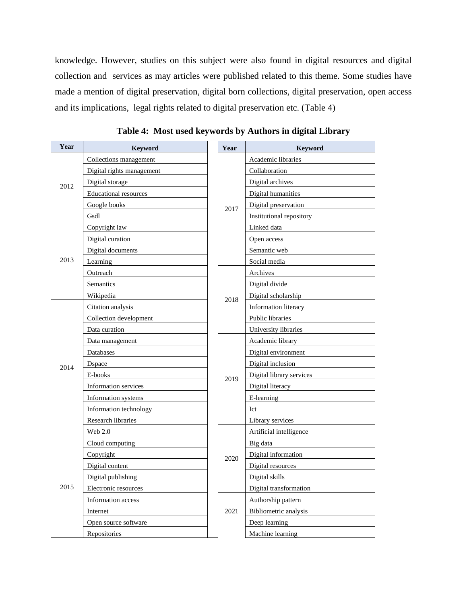knowledge. However, studies on this subject were also found in digital resources and digital collection and services as may articles were published related to this theme. Some studies have made a mention of digital preservation, digital born collections, digital preservation, open access and its implications, legal rights related to digital preservation etc. (Table 4)

| Year | Keyword                      | Year | Keyword                  |
|------|------------------------------|------|--------------------------|
| 2012 | Collections management       |      | Academic libraries       |
|      | Digital rights management    |      | Collaboration            |
|      | Digital storage              |      | Digital archives         |
|      | <b>Educational resources</b> | 2017 | Digital humanities       |
|      | Google books                 |      | Digital preservation     |
|      | Gsdl                         |      | Institutional repository |
|      | Copyright law                |      | Linked data              |
|      | Digital curation             |      | Open access              |
|      | Digital documents            |      | Semantic web             |
| 2013 | Learning                     |      | Social media             |
|      | Outreach                     |      | Archives                 |
|      | Semantics                    |      | Digital divide           |
|      | Wikipedia                    | 2018 | Digital scholarship      |
|      | Citation analysis            |      | Information literacy     |
|      | Collection development       |      | Public libraries         |
|      | Data curation                |      | University libraries     |
|      | Data management              | 2019 | Academic library         |
|      | Databases                    |      | Digital environment      |
| 2014 | Dspace                       |      | Digital inclusion        |
|      | E-books                      |      | Digital library services |
|      | <b>Information services</b>  |      | Digital literacy         |
|      | Information systems          |      | E-learning               |
|      | Information technology       |      | Ict                      |
|      | Research libraries           |      | Library services         |
|      | Web 2.0                      |      | Artificial intelligence  |
|      | Cloud computing              |      | Big data                 |
|      | Copyright                    | 2020 | Digital information      |
| 2015 | Digital content              |      | Digital resources        |
|      | Digital publishing           |      | Digital skills           |
|      | Electronic resources         |      | Digital transformation   |
|      | Information access           |      | Authorship pattern       |
|      | Internet                     | 2021 | Bibliometric analysis    |
|      | Open source software         |      | Deep learning            |
|      | Repositories                 |      | Machine learning         |

**Table 4: Most used keywords by Authors in digital Library**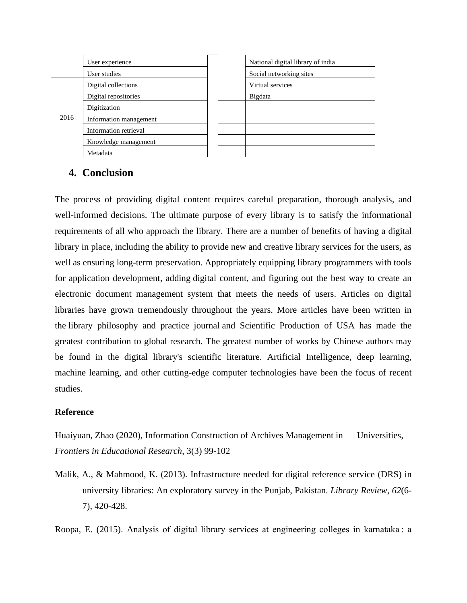|      | User experience        |  | National digital library of india |
|------|------------------------|--|-----------------------------------|
|      | User studies           |  | Social networking sites           |
|      | Digital collections    |  | Virtual services                  |
|      | Digital repositories   |  | Bigdata                           |
|      | Digitization           |  |                                   |
| 2016 | Information management |  |                                   |
|      | Information retrieval  |  |                                   |
|      | Knowledge management   |  |                                   |
|      | Metadata               |  |                                   |

### **4. Conclusion**

The process of providing digital content requires careful preparation, thorough analysis, and well-informed decisions. The ultimate purpose of every library is to satisfy the informational requirements of all who approach the library. There are a number of benefits of having a digital library in place, including the ability to provide new and creative library services for the users, as well as ensuring long-term preservation. Appropriately equipping library programmers with tools for application development, adding digital content, and figuring out the best way to create an electronic document management system that meets the needs of users. Articles on digital libraries have grown tremendously throughout the years. More articles have been written in the library philosophy and practice journal and Scientific Production of USA has made the greatest contribution to global research. The greatest number of works by Chinese authors may be found in the digital library's scientific literature. Artificial Intelligence, deep learning, machine learning, and other cutting-edge computer technologies have been the focus of recent studies.

#### **Reference**

Huaiyuan, Zhao (2020), Information Construction of Archives Management in Universities, *Frontiers in Educational Research*, 3(3) 99-102

Malik, A., & Mahmood, K. (2013). Infrastructure needed for digital reference service (DRS) in university libraries: An exploratory survey in the Punjab, Pakistan. *Library Review*, *62*(6- 7), 420-428.

Roopa, E. (2015). Analysis of digital library services at engineering colleges in karnataka : a